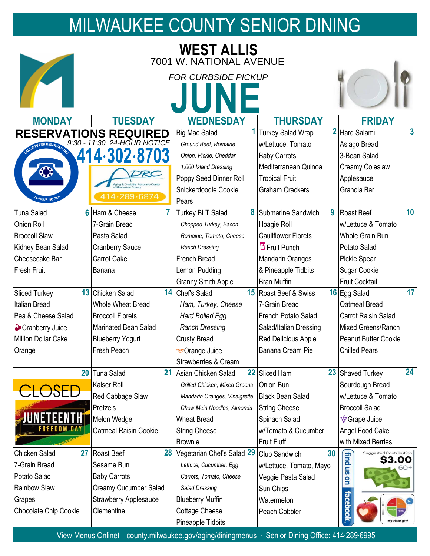## MILWAUKEE COUNTY SENIOR DINING

| <b>WEST ALLIS</b>                 |                              |                                                       |                            |                                  |
|-----------------------------------|------------------------------|-------------------------------------------------------|----------------------------|----------------------------------|
|                                   |                              | 7001 W. NATIONAL AVENUE<br><b>FOR CURBSIDE PICKUP</b> |                            |                                  |
| <b>MONDAY</b>                     | <b>TUESDAY</b>               | <b>WEDNESDAY</b>                                      | <b>THURSDAY</b>            | <b>FRIDAY</b>                    |
|                                   | <b>RESERVATIONS REQUIRED</b> | <b>Big Mac Salad</b>                                  | <b>Turkey Salad Wrap</b>   | $\overline{3}$<br>2 Hard Salami  |
| $9:30 - 11:30$<br>FOR RESERVATION | 24-HOUR NOTICE               | Ground Beef, Romaine                                  | w/Lettuce, Tomato          | Asiago Bread                     |
|                                   |                              | Onion, Pickle, Cheddar                                | <b>Baby Carrots</b>        | 3-Bean Salad                     |
| €                                 |                              | 1,000 Island Dressing                                 | Mediterranean Quinoa       | Creamy Coleslaw                  |
|                                   | Aging & Disability Re        | Poppy Seed Dinner Roll                                | <b>Tropical Fruit</b>      | Applesauce                       |
|                                   | 289-6874                     | Snickerdoodle Cookie                                  | <b>Graham Crackers</b>     | Granola Bar                      |
| <sup>24-</sup> HOUR NOTIC         |                              | Pears                                                 |                            |                                  |
| <b>Tuna Salad</b><br>6            | Ham & Cheese                 | 8<br><b>Turkey BLT Salad</b>                          | Submarine Sandwich<br>9    | 10<br>Roast Beef                 |
| Onion Roll                        | 7-Grain Bread                | Chopped Turkey, Bacon                                 | Hoagie Roll                | w/Lettuce & Tomato               |
| <b>Broccoli Slaw</b>              | Pasta Salad                  | Romaine, Tomato, Cheese                               | <b>Cauliflower Florets</b> | <b>Whole Grain Bun</b>           |
| Kidney Bean Salad                 | <b>Cranberry Sauce</b>       | <b>Ranch Dressing</b>                                 | $\overline{U}$ Fruit Punch | Potato Salad                     |
| Cheesecake Bar                    | <b>Carrot Cake</b>           | <b>French Bread</b>                                   | <b>Mandarin Oranges</b>    | Pickle Spear                     |
| Fresh Fruit                       | Banana                       | Lemon Pudding                                         | & Pineapple Tidbits        | Sugar Cookie                     |
|                                   |                              | <b>Granny Smith Apple</b>                             | <b>Bran Muffin</b>         | <b>Fruit Cocktail</b>            |
| 13<br><b>Sliced Turkey</b>        | Chicken Salad                | 14 Chef's Salad<br>$15\,$                             | Roast Beef & Swiss         | 17<br>16 Egg Salad               |
| Italian Bread                     | <b>Whole Wheat Bread</b>     | Ham, Turkey, Cheese                                   | 7-Grain Bread              | Oatmeal Bread                    |
| Pea & Cheese Salad                | <b>Broccoli Florets</b>      | Hard Boiled Egg                                       | French Potato Salad        | <b>Carrot Raisin Salad</b>       |
| Cranberry Juice                   | <b>Marinated Bean Salad</b>  | <b>Ranch Dressing</b>                                 | Salad/Italian Dressing     | Mixed Greens/Ranch               |
| <b>Million Dollar Cake</b>        | <b>Blueberry Yogurt</b>      | <b>Crusty Bread</b>                                   | Red Delicious Apple        | <b>Peanut Butter Cookie</b>      |
| Orange                            | Fresh Peach                  | Crange Juice                                          | Banana Cream Pie           | <b>Chilled Pears</b>             |
|                                   |                              | <b>Strawberries &amp; Cream</b>                       |                            |                                  |
| 20                                | <b>Tuna Salad</b>            | 21 Asian Chicken Salad<br>22                          | Sliced Ham                 | 24<br>23 Shaved Turkey           |
| $\overline{S}$                    | Kaiser Roll                  | Grilled Chicken, Mixed Greens                         | Onion Bun                  | Sourdough Bread                  |
|                                   | Red Cabbage Slaw             | Mandarin Oranges, Vinaigrette                         | <b>Black Bean Salad</b>    | w/Lettuce & Tomato               |
|                                   | Pretzels                     | Chow Mein Noodles, Almonds                            | <b>String Cheese</b>       | <b>Broccoli Salad</b>            |
|                                   | Melon Wedge                  | <b>Wheat Bread</b>                                    | Spinach Salad              | <b><sup>•</sup>•</b> Grape Juice |
| FREEDOM                           | <b>Oatmeal Raisin Cookie</b> | <b>String Cheese</b>                                  | w/Tomato & Cucumber        | Angel Food Cake                  |
|                                   |                              | <b>Brownie</b>                                        | <b>Fruit Fluff</b>         | with Mixed Berries               |
| Chicken Salad<br>27               | 28<br><b>Roast Beef</b>      | Vegetarian Chef's Salad 29                            | 30<br>Club Sandwich        | Suggested Contribution<br>\$3.00 |
| 7-Grain Bread                     | Sesame Bun                   | Lettuce, Cucumber, Egg                                | w/Lettuce, Tomato, Mayo    | findus                           |
| Potato Salad                      | <b>Baby Carrots</b>          | Carrots, Tomato, Cheese                               | Veggie Pasta Salad         | g                                |
| Rainbow Slaw                      | Creamy Cucumber Salad        | Salad Dressing                                        | Sun Chips                  |                                  |
| Grapes                            | <b>Strawberry Applesauce</b> | <b>Blueberry Muffin</b>                               | Watermelon                 | faceboo                          |
| Chocolate Chip Cookie             | Clementine                   | <b>Cottage Cheese</b>                                 | Peach Cobbler              |                                  |
|                                   |                              | Pineapple Tidbits                                     |                            |                                  |